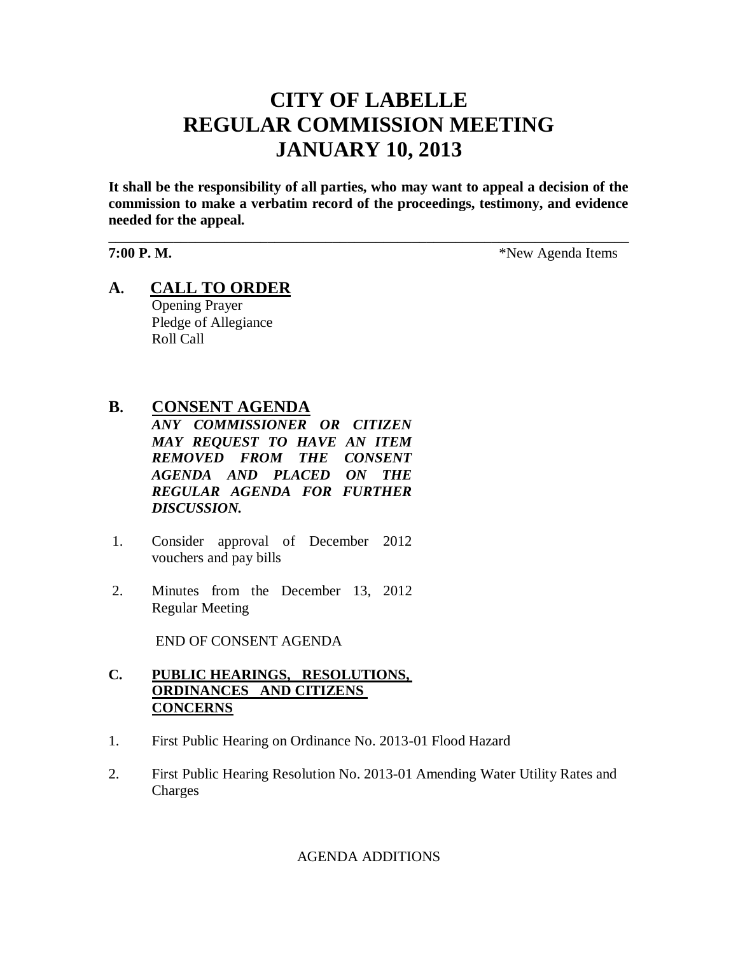# **CITY OF LABELLE REGULAR COMMISSION MEETING JANUARY 10, 2013**

**It shall be the responsibility of all parties, who may want to appeal a decision of the commission to make a verbatim record of the proceedings, testimony, and evidence needed for the appeal.**

\_\_\_\_\_\_\_\_\_\_\_\_\_\_\_\_\_\_\_\_\_\_\_\_\_\_\_\_\_\_\_\_\_\_\_\_\_\_\_\_\_\_\_\_\_\_\_\_\_\_\_\_\_\_\_\_\_\_\_\_\_\_\_\_\_\_\_\_\_\_\_\_

**7:00 P. M.**  $*$ New Agenda Items

**A. CALL TO ORDER** Opening Prayer Pledge of Allegiance Roll Call

## **B. CONSENT AGENDA**

*ANY COMMISSIONER OR CITIZEN MAY REQUEST TO HAVE AN ITEM REMOVED FROM THE CONSENT AGENDA AND PLACED ON THE REGULAR AGENDA FOR FURTHER DISCUSSION.*

- 1. Consider approval of December 2012 vouchers and pay bills
- 2. Minutes from the December 13, 2012 Regular Meeting

END OF CONSENT AGENDA

### **C. PUBLIC HEARINGS, RESOLUTIONS, ORDINANCES AND CITIZENS CONCERNS**

- 1. First Public Hearing on Ordinance No. 2013-01 Flood Hazard
- 2. First Public Hearing Resolution No. 2013-01 Amending Water Utility Rates and Charges

AGENDA ADDITIONS